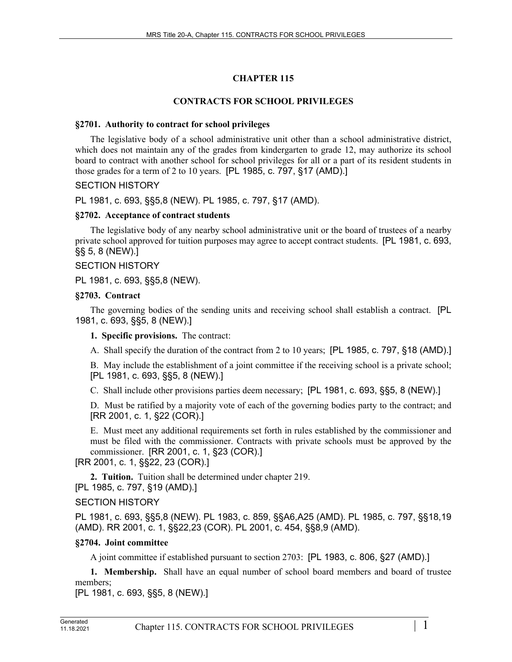# **CHAPTER 115**

## **CONTRACTS FOR SCHOOL PRIVILEGES**

#### **§2701. Authority to contract for school privileges**

The legislative body of a school administrative unit other than a school administrative district, which does not maintain any of the grades from kindergarten to grade 12, may authorize its school board to contract with another school for school privileges for all or a part of its resident students in those grades for a term of 2 to 10 years. [PL 1985, c. 797, §17 (AMD).]

### SECTION HISTORY

PL 1981, c. 693, §§5,8 (NEW). PL 1985, c. 797, §17 (AMD).

#### **§2702. Acceptance of contract students**

The legislative body of any nearby school administrative unit or the board of trustees of a nearby private school approved for tuition purposes may agree to accept contract students. [PL 1981, c. 693, §§ 5, 8 (NEW).]

### SECTION HISTORY

PL 1981, c. 693, §§5,8 (NEW).

#### **§2703. Contract**

The governing bodies of the sending units and receiving school shall establish a contract. [PL 1981, c. 693, §§5, 8 (NEW).]

**1. Specific provisions.** The contract:

A. Shall specify the duration of the contract from 2 to 10 years; [PL 1985, c. 797, §18 (AMD).]

B. May include the establishment of a joint committee if the receiving school is a private school; [PL 1981, c. 693, §§5, 8 (NEW).]

C. Shall include other provisions parties deem necessary; [PL 1981, c. 693, §§5, 8 (NEW).]

D. Must be ratified by a majority vote of each of the governing bodies party to the contract; and [RR 2001, c. 1, §22 (COR).]

E. Must meet any additional requirements set forth in rules established by the commissioner and must be filed with the commissioner. Contracts with private schools must be approved by the commissioner. [RR 2001, c. 1, §23 (COR).]

[RR 2001, c. 1, §§22, 23 (COR).]

**2. Tuition.** Tuition shall be determined under chapter 219. [PL 1985, c. 797, §19 (AMD).]

### SECTION HISTORY

PL 1981, c. 693, §§5,8 (NEW). PL 1983, c. 859, §§A6,A25 (AMD). PL 1985, c. 797, §§18,19 (AMD). RR 2001, c. 1, §§22,23 (COR). PL 2001, c. 454, §§8,9 (AMD).

### **§2704. Joint committee**

A joint committee if established pursuant to section 2703: [PL 1983, c. 806, §27 (AMD).]

**1. Membership.** Shall have an equal number of school board members and board of trustee members;

[PL 1981, c. 693, §§5, 8 (NEW).]